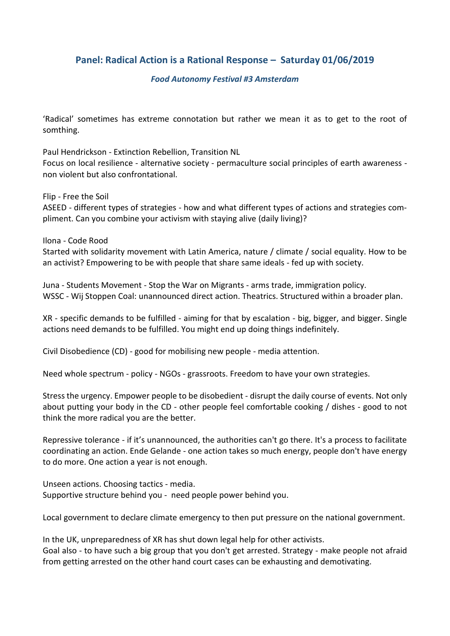## **Panel: Radical Action is a Rational Response – Saturday 01/06/2019**

## *Food Autonomy Festival #3 Amsterdam*

'Radical' sometimes has extreme connotation but rather we mean it as to get to the root of somthing.

Paul Hendrickson - Extinction Rebellion, Transition NL Focus on local resilience - alternative society - permaculture social principles of earth awareness non violent but also confrontational.

Flip - Free the Soil ASEED - different types of strategies - how and what different types of actions and strategies compliment. Can you combine your activism with staying alive (daily living)?

Ilona - Code Rood Started with solidarity movement with Latin America, nature / climate / social equality. How to be an activist? Empowering to be with people that share same ideals - fed up with society.

Juna - Students Movement - Stop the War on Migrants - arms trade, immigration policy. WSSC - Wij Stoppen Coal: unannounced direct action. Theatrics. Structured within a broader plan.

XR - specific demands to be fulfilled - aiming for that by escalation - big, bigger, and bigger. Single actions need demands to be fulfilled. You might end up doing things indefinitely.

Civil Disobedience (CD) - good for mobilising new people - media attention.

Need whole spectrum - policy - NGOs - grassroots. Freedom to have your own strategies.

Stress the urgency. Empower people to be disobedient - disrupt the daily course of events. Not only about putting your body in the CD - other people feel comfortable cooking / dishes - good to not think the more radical you are the better.

Repressive tolerance - if it's unannounced, the authorities can't go there. It's a process to facilitate coordinating an action. Ende Gelande - one action takes so much energy, people don't have energy to do more. One action a year is not enough.

Unseen actions. Choosing tactics - media. Supportive structure behind you - need people power behind you.

Local government to declare climate emergency to then put pressure on the national government.

In the UK, unpreparedness of XR has shut down legal help for other activists. Goal also - to have such a big group that you don't get arrested. Strategy - make people not afraid from getting arrested on the other hand court cases can be exhausting and demotivating.